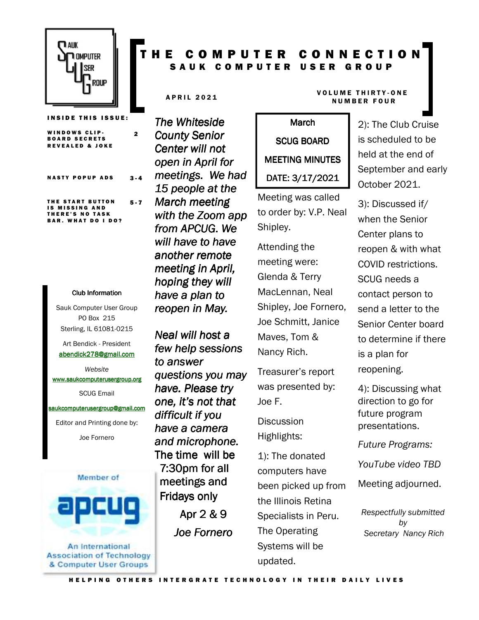

**INSIDE THIS ISSUE:** 

WINDOWS CLIP-**BOARD SECRETS** R EV EALED & JOKE 2 NASTY POPUP ADS 3.4 THE START BUTTON **IS MISSING AND** 5 - 7

#### THERE'S NO TASK **BAR. WHAT DO I DO?**

#### Club Information Club Information

Sauk Computer User Group PO Box 215 Sterling, IL 61081-0215

Art Bendick - President abendick278@gmail.com

*Website*  www.saukcomputerusergroup.org SCUG Email

saukcomputerusergroup@gmail.com

Editor and Printing done by: Joe Fornero



An International **Association of Technology** & Computer User Groups

## COMPUTER CONNECTION S A U K C O M P U T E R U S E R G R O U P

*The Whiteside County Senior Center will not open in April for meetings. We had 15 people at the March meeting with the Zoom app from APCUG. We will have to have another remote meeting in April, hoping they will have a plan to reopen in May.* 

*Neal will host a few help sessions to answer questions you may have. Please try one, it's not that difficult if you have a camera and microphone.*  The time will be 7:30pm for all meetings and Fridays only

Apr 2 & 9 *Joe Fornero* 

# March SCUG BOARD MEETING MINUTES DATE: 3/17/2021

Meeting was called to order by: V.P. Neal Shipley.

Attending the meeting were: Glenda & Terry MacLennan, Neal Shipley, Joe Fornero, Joe Schmitt, Janice Maves, Tom & Nancy Rich.

Treasurer's report was presented by: Joe F.

**Discussion** Highlights:

1): The donated computers have been picked up from the Illinois Retina Specialists in Peru. The Operating Systems will be updated.

#### A PRIL 2021 VOLUME THIRTY-ONE N U M B E R F O U R

2): The Club Cruise is scheduled to be held at the end of September and early October 2021.

3): Discussed if/ when the Senior Center plans to reopen & with what COVID restrictions. SCUG needs a contact person to send a letter to the Senior Center board to determine if there is a plan for reopening.

4): Discussing what direction to go for future program presentations.

*Future Programs:* 

*YouTube video TBD* 

Meeting adjourned.

*Respectfully submitted by Secretary Nancy Rich*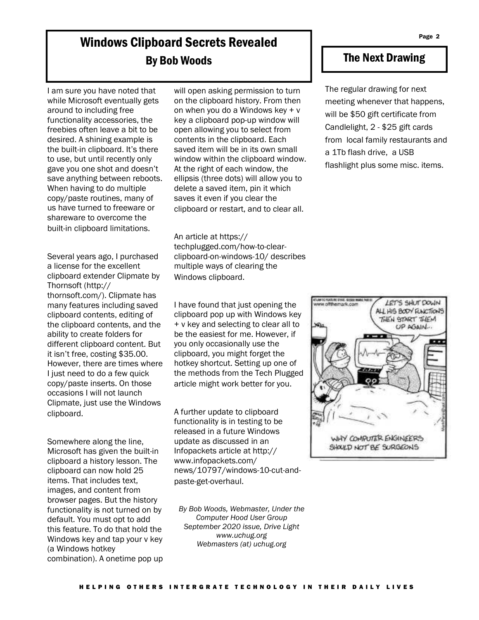# Windows Clipboard Secrets Revealed By Bob Woods

I am sure you have noted that while Microsoft eventually gets around to including free functionality accessories, the freebies often leave a bit to be desired. A shining example is the built-in clipboard. It's there to use, but until recently only gave you one shot and doesn't save anything between reboots. When having to do multiple copy/paste routines, many of us have turned to freeware or shareware to overcome the built-in clipboard limitations.

Several years ago, I purchased a license for the excellent clipboard extender Clipmate by Thornsoft (http:// thornsoft.com/). Clipmate has many features including saved clipboard contents, editing of the clipboard contents, and the ability to create folders for different clipboard content. But it isn't free, costing \$35.00. However, there are times where I just need to do a few quick copy/paste inserts. On those occasions I will not launch Clipmate, just use the Windows clipboard.

Somewhere along the line, Microsoft has given the built-in clipboard a history lesson. The clipboard can now hold 25 items. That includes text, images, and content from browser pages. But the history functionality is not turned on by default. You must opt to add this feature. To do that hold the Windows key and tap your v key (a Windows hotkey combination). A onetime pop up will open asking permission to turn on the clipboard history. From then on when you do a Windows key + v key a clipboard pop-up window will open allowing you to select from contents in the clipboard. Each saved item will be in its own small window within the clipboard window. At the right of each window, the ellipsis (three dots) will allow you to delete a saved item, pin it which saves it even if you clear the clipboard or restart, and to clear all.

An article at https:// techplugged.com/how-to-clearclipboard-on-windows-10/ describes multiple ways of clearing the Windows clipboard.

I have found that just opening the clipboard pop up with Windows key + v key and selecting to clear all to be the easiest for me. However, if you only occasionally use the clipboard, you might forget the hotkey shortcut. Setting up one of the methods from the Tech Plugged article might work better for you.

A further update to clipboard functionality is in testing to be released in a future Windows update as discussed in an Infopackets article at http:// www.infopackets.com/ news/10797/windows-10-cut-andpaste-get-overhaul.

*By Bob Woods, Webmaster, Under the Computer Hood User Group September 2020 issue, Drive Light www.uchug.org Webmasters (at) uchug.org* 

#### The Next Drawing

The regular drawing for next meeting whenever that happens, will be \$50 gift certificate from Candlelight, 2 - \$25 gift cards from local family restaurants and a 1Tb flash drive, a USB flashlight plus some misc. items.

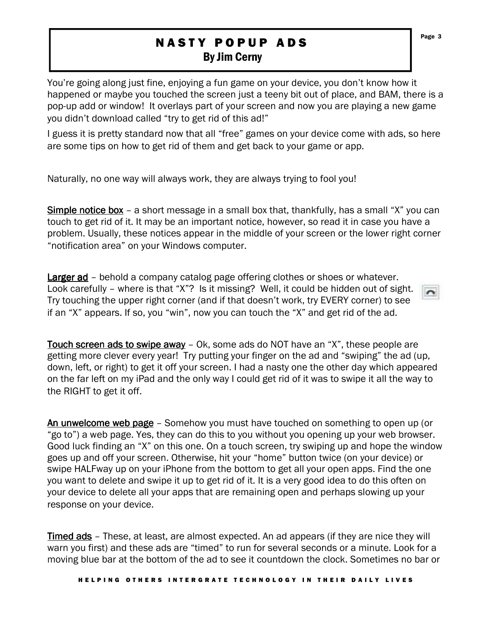## **NASTY POPUP ADS** By Jim Cerny

You're going along just fine, enjoying a fun game on your device, you don't know how it happened or maybe you touched the screen just a teeny bit out of place, and BAM, there is a pop-up add or window! It overlays part of your screen and now you are playing a new game you didn't download called "try to get rid of this ad!"

I guess it is pretty standard now that all "free" games on your device come with ads, so here are some tips on how to get rid of them and get back to your game or app.

Naturally, no one way will always work, they are always trying to fool you!

Simple notice box – a short message in a small box that, thankfully, has a small "X" you can touch to get rid of it. It may be an important notice, however, so read it in case you have a problem. Usually, these notices appear in the middle of your screen or the lower right corner "notification area" on your Windows computer.

Larger ad – behold a company catalog page offering clothes or shoes or whatever. Look carefully – where is that "X"? Is it missing? Well, it could be hidden out of sight. Try touching the upper right corner (and if that doesn't work, try EVERY corner) to see if an "X" appears. If so, you "win", now you can touch the "X" and get rid of the ad.

Touch screen ads to swipe away – Ok, some ads do NOT have an "X", these people are getting more clever every year! Try putting your finger on the ad and "swiping" the ad (up, down, left, or right) to get it off your screen. I had a nasty one the other day which appeared on the far left on my iPad and the only way I could get rid of it was to swipe it all the way to the RIGHT to get it off.

An unwelcome web page – Somehow you must have touched on something to open up (or "go to") a web page. Yes, they can do this to you without you opening up your web browser. Good luck finding an "X" on this one. On a touch screen, try swiping up and hope the window goes up and off your screen. Otherwise, hit your "home" button twice (on your device) or swipe HALFway up on your iPhone from the bottom to get all your open apps. Find the one you want to delete and swipe it up to get rid of it. It is a very good idea to do this often on your device to delete all your apps that are remaining open and perhaps slowing up your response on your device.

Timed ads – These, at least, are almost expected. An ad appears (if they are nice they will warn you first) and these ads are "timed" to run for several seconds or a minute. Look for a moving blue bar at the bottom of the ad to see it countdown the clock. Sometimes no bar or

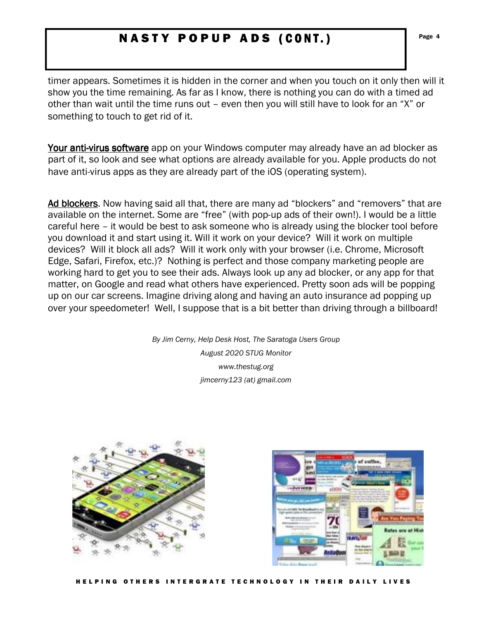## N A S T Y P O P U P A D S (CONT.) Page 4

timer appears. Sometimes it is hidden in the corner and when you touch on it only then will it show you the time remaining. As far as I know, there is nothing you can do with a timed ad other than wait until the time runs out – even then you will still have to look for an "X" or something to touch to get rid of it.

Your anti-virus software app on your Windows computer may already have an ad blocker as part of it, so look and see what options are already available for you. Apple products do not have anti-virus apps as they are already part of the iOS (operating system).

Ad blockers. Now having said all that, there are many ad "blockers" and "removers" that are available on the internet. Some are "free" (with pop-up ads of their own!). I would be a little careful here – it would be best to ask someone who is already using the blocker tool before you download it and start using it. Will it work on your device? Will it work on multiple devices? Will it block all ads? Will it work only with your browser (i.e. Chrome, Microsoft Edge, Safari, Firefox, etc.)? Nothing is perfect and those company marketing people are working hard to get you to see their ads. Always look up any ad blocker, or any app for that matter, on Google and read what others have experienced. Pretty soon ads will be popping up on our car screens. Imagine driving along and having an auto insurance ad popping up over your speedometer! Well, I suppose that is a bit better than driving through a billboard!

> *By Jim Cerny, Help Desk Host, The Saratoga Users Group August 2020 STUG Monitor www.thestug.org jimcerny123 (at) gmail.com*



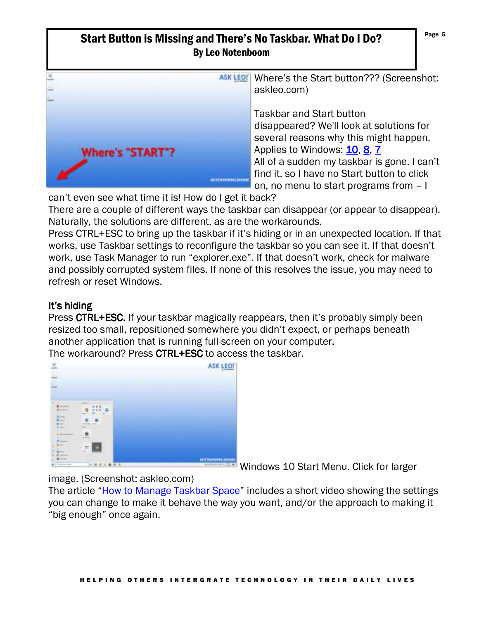### Start Button is Missing and There's No Taskbar. What Do I Do? By Leo Notenboom



ASK LEO! Where's the Start button??? (Screenshot: askleo.com)

> Taskbar and Start button disappeared? We'll look at solutions for several reasons why this might happen. Applies to Windows: 10, 8, 7 All of a sudden my taskbar is gone. I can't find it, so I have no Start button to click on, no menu to start programs from – I

can't even see what time it is! How do I get it back?

There are a couple of different ways the taskbar can disappear (or appear to disappear). Naturally, the solutions are different, as are the workarounds.

Press CTRL+ESC to bring up the taskbar if it's hiding or in an unexpected location. If that works, use Taskbar settings to reconfigure the taskbar so you can see it. If that doesn't work, use Task Manager to run "explorer.exe". If that doesn't work, check for malware and possibly corrupted system files. If none of this resolves the issue, you may need to refresh or reset Windows.

### It's hiding

Press CTRL+ESC. If your taskbar magically reappears, then it's probably simply been resized too small, repositioned somewhere you didn't expect, or perhaps beneath another application that is running full-screen on your computer.

The workaround? Press CTRL+ESC to access the taskbar.



Windows 10 Start Menu. Click for larger

image. (Screenshot: askleo.com)

The article "How to Manage Taskbar Space" includes a short video showing the settings you can change to make it behave the way you want, and/or the approach to making it "big enough" once again.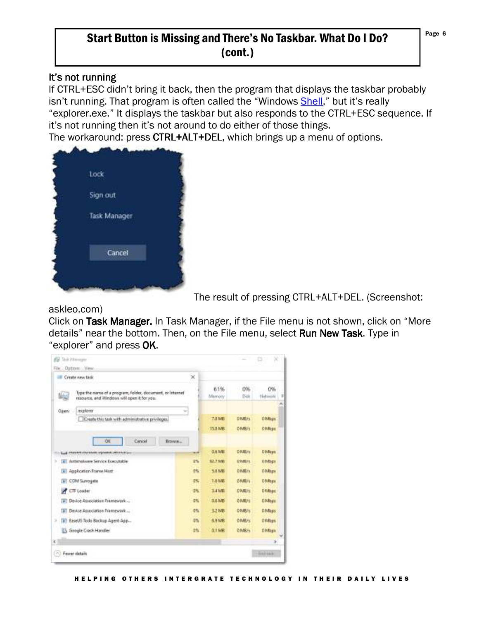## Start Button is Missing and There's No Taskbar. What Do I Do? (cont.)

#### It's not running

If CTRL+ESC didn't bring it back, then the program that displays the taskbar probably isn't running. That program is often called the "Windows Shell," but it's really "explorer.exe." It displays the taskbar but also responds to the CTRL+ESC sequence. If it's not running then it's not around to do either of those things. The workaround: press CTRL+ALT+DEL, which brings up a menu of options.



The result of pressing CTRL+ALT+DEL. (Screenshot:

#### askleo.com)

Click on Task Manager. In Task Manager, if the File menu is not shown, click on "More details" near the bottom. Then, on the File menu, select **Run New Task**. Type in "explorer" and press OK.

| File Options View                                                                                             |              |               |                 |                 |
|---------------------------------------------------------------------------------------------------------------|--------------|---------------|-----------------|-----------------|
| <b>Ell</b> Create new task                                                                                    | $\!\times\!$ |               |                 |                 |
| Type the name of a program, folder, document, or internet<br>龅<br>resource, and Windows will open it for you. |              | 61%<br>Memory | 0%<br>Disk      | O%<br>Netrimite |
| exploits<br>Open:                                                                                             | $\sim$       |               |                 |                 |
| Create this task with administrative privileges.                                                              |              | <b>7.4 MB</b> | <b>DIMILIS</b>  | <b>D</b> Maps   |
|                                                                                                               |              | 15.1 MB       | <b>DIMBI's</b>  | <b>O Miles</b>  |
| ÖК<br>Cancel<br>Erowis                                                                                        |              |               |                 |                 |
| Lug Hussen chulaism siyonne Jelonica                                                                          | --           | <b>QAME</b>   | D MILITI        | <b>DMaps</b>    |
| Antimalware Service Executable<br>懂<br>×                                                                      | 终            | \$2.7 MB      | <b>DIVISION</b> | <b>D</b> Maps   |
| A Application Franve Hast                                                                                     | 6%           | 5.8 MB        | <b>DIMILIS</b>  | <b>DMisse</b>   |
| [#] COM Surrogate                                                                                             | 25           | <b>1.6 MB</b> | <b>DIMILIS</b>  | <b>DMIsse</b>   |
| CTF Loader                                                                                                    | 0%           | <b>SAMB</b>   | <b>DIMIN</b>    | <b>D</b> Maps   |
| Device Association Framework                                                                                  | 4%           | <b>D.E.ME</b> | <b>DIMIUS</b>   | <b>DMING</b>    |
| [a] Device Association Framework                                                                              | 4%           | 3.2 MB        | D MB/s          | <b>D.Maps</b>   |
| э<br>1 EaseUS Todo Backup Agent App                                                                           | 35           | 6.9 MR        | <b>DIME/s</b>   | <b>Division</b> |
| 5 Google Clash Handler                                                                                        | 动            | <b>Q.I.MR</b> | <b>DIMB/s</b>   | <b>D</b> Maga   |
|                                                                                                               |              |               |                 | ×               |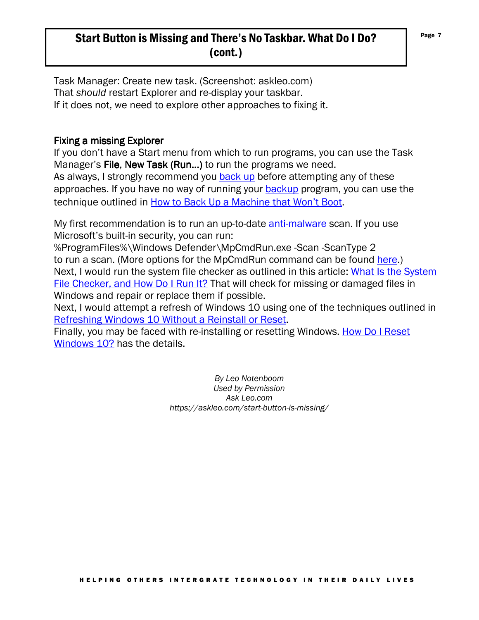## Start Button is Missing and There's No Taskbar. What Do I Do? (cont.)

Task Manager: Create new task. (Screenshot: askleo.com) That *should* restart Explorer and re-display your taskbar. If it does not, we need to explore other approaches to fixing it.

#### Fixing a missing Explorer

If you don't have a Start menu from which to run programs, you can use the Task Manager's File, New Task (Run...) to run the programs we need.

As always, I strongly recommend you back up before attempting any of these approaches. If you have no way of running your **backup** program, you can use the technique outlined in How to Back Up a Machine that Won't Boot.

My first recommendation is to run an up-to-date anti-malware scan. If you use Microsoft's built-in security, you can run:

%ProgramFiles%\Windows Defender\MpCmdRun.exe -Scan -ScanType 2 to run a scan. (More options for the MpCmdRun command can be found here.) Next, I would run the system file checker as outlined in this article: What Is the System File Checker, and How Do I Run It? That will check for missing or damaged files in Windows and repair or replace them if possible.

Next, I would attempt a refresh of Windows 10 using one of the techniques outlined in Refreshing Windows 10 Without a Reinstall or Reset.

Finally, you may be faced with re-installing or resetting Windows. How Do I Reset Windows 10? has the details.

> *By Leo Notenboom Used by Permission Ask Leo.com https://askleo.com/start-button-is-missing/*